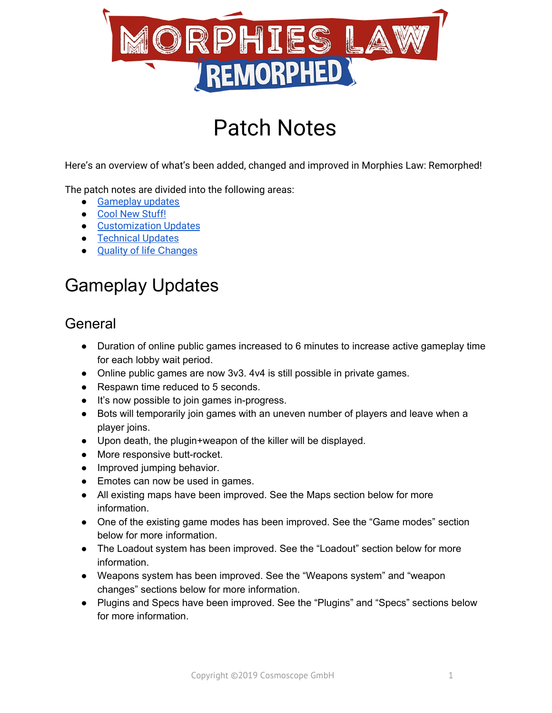

# Patch Notes

Here's an overview of what's been added, changed and improved in Morphies Law: Remorphed!

The patch notes are divided into the following areas:

- Gameplay updates
- Cool New [Stuff!](#page-6-0)
- [Customization](#page-7-0) Updates
- **Technical Updates**
- [Quality](#page-9-0) of life [Changes](#page-9-0)

## Gameplay Updates

#### **General**

- Duration of online public games increased to 6 minutes to increase active gameplay time for each lobby wait period.
- Online public games are now 3v3. 4v4 is still possible in private games.
- Respawn time reduced to 5 seconds.
- It's now possible to join games in-progress.
- Bots will temporarily join games with an uneven number of players and leave when a player joins.
- Upon death, the plugin+weapon of the killer will be displayed.
- More responsive butt-rocket.
- Improved jumping behavior.
- Emotes can now be used in games.
- All existing maps have been improved. See the Maps section below for more information.
- One of the existing game modes has been improved. See the "Game modes" section below for more information.
- The Loadout system has been improved. See the "Loadout" section below for more information.
- Weapons system has been improved. See the "Weapons system" and "weapon changes" sections below for more information.
- Plugins and Specs have been improved. See the "Plugins" and "Specs" sections below for more information.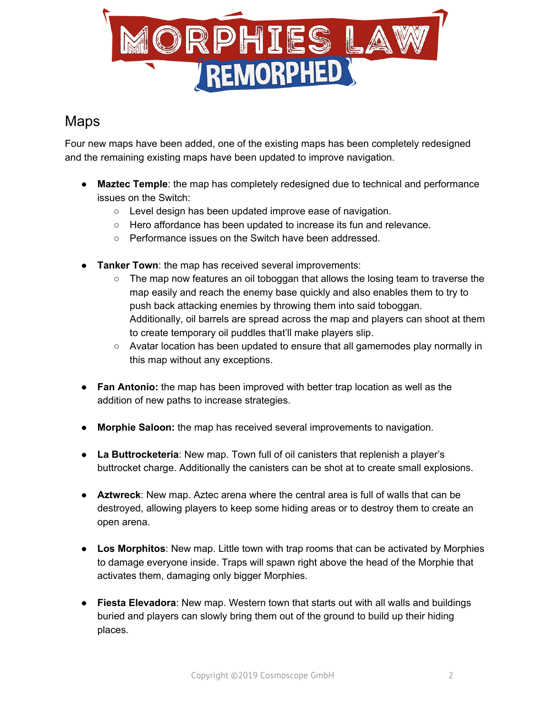

#### Maps

Four new maps have been added, one of the existing maps has been completely redesigned and the remaining existing maps have been updated to improve navigation.

- **Maztec Temple**: the map has completely redesigned due to technical and performance issues on the Switch:
	- Level design has been updated improve ease of navigation.
	- Hero affordance has been updated to increase its fun and relevance.
	- Performance issues on the Switch have been addressed.
- **Tanker Town**: the map has received several improvements:
	- $\circ$  The map now features an oil toboggan that allows the losing team to traverse the map easily and reach the enemy base quickly and also enables them to try to push back attacking enemies by throwing them into said toboggan. Additionally, oil barrels are spread across the map and players can shoot at them to create temporary oil puddles that'll make players slip.
	- Avatar location has been updated to ensure that all gamemodes play normally in this map without any exceptions.
- **Fan Antonio:** the map has been improved with better trap location as well as the addition of new paths to increase strategies.
- **Morphie Saloon:** the map has received several improvements to navigation.
- **La Buttrocketeria**: New map. Town full of oil canisters that replenish a player's buttrocket charge. Additionally the canisters can be shot at to create small explosions.
- **Aztwreck**: New map. Aztec arena where the central area is full of walls that can be destroyed, allowing players to keep some hiding areas or to destroy them to create an open arena.
- **● Los Morphitos**: New map. Little town with trap rooms that can be activated by Morphies to damage everyone inside. Traps will spawn right above the head of the Morphie that activates them, damaging only bigger Morphies.
- **● Fiesta Elevadora**: New map. Western town that starts out with all walls and buildings buried and players can slowly bring them out of the ground to build up their hiding places.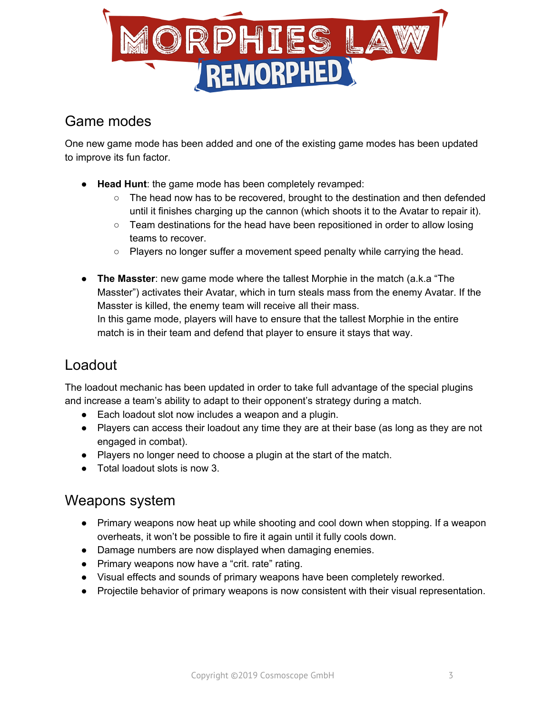

#### Game modes

One new game mode has been added and one of the existing game modes has been updated to improve its fun factor.

- **Head Hunt**: the game mode has been completely revamped:
	- The head now has to be recovered, brought to the destination and then defended until it finishes charging up the cannon (which shoots it to the Avatar to repair it).
	- Team destinations for the head have been repositioned in order to allow losing teams to recover.
	- Players no longer suffer a movement speed penalty while carrying the head.
- **The Masster**: new game mode where the tallest Morphie in the match (a.k.a "The Masster") activates their Avatar, which in turn steals mass from the enemy Avatar. If the Masster is killed, the enemy team will receive all their mass. In this game mode, players will have to ensure that the tallest Morphie in the entire match is in their team and defend that player to ensure it stays that way.

#### Loadout

The loadout mechanic has been updated in order to take full advantage of the special plugins and increase a team's ability to adapt to their opponent's strategy during a match.

- Each loadout slot now includes a weapon and a plugin.
- Players can access their loadout any time they are at their base (as long as they are not engaged in combat).
- Players no longer need to choose a plugin at the start of the match.
- Total loadout slots is now 3.

#### Weapons system

- Primary weapons now heat up while shooting and cool down when stopping. If a weapon overheats, it won't be possible to fire it again until it fully cools down.
- Damage numbers are now displayed when damaging enemies.
- Primary weapons now have a "crit. rate" rating.
- Visual effects and sounds of primary weapons have been completely reworked.
- Projectile behavior of primary weapons is now consistent with their visual representation.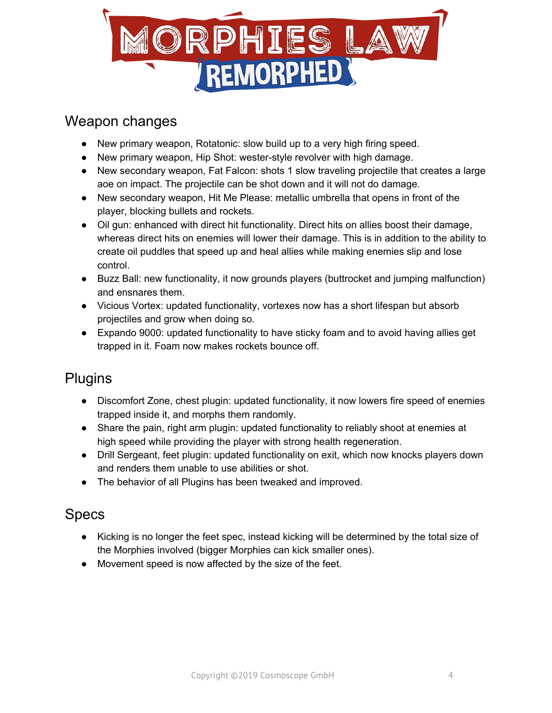

#### Weapon changes

- New primary weapon, Rotatonic: slow build up to a very high firing speed.
- New primary weapon, Hip Shot: wester-style revolver with high damage.
- New secondary weapon, Fat Falcon: shots 1 slow traveling projectile that creates a large aoe on impact. The projectile can be shot down and it will not do damage.
- New secondary weapon, Hit Me Please: metallic umbrella that opens in front of the player, blocking bullets and rockets.
- Oil gun: enhanced with direct hit functionality. Direct hits on allies boost their damage, whereas direct hits on enemies will lower their damage. This is in addition to the ability to create oil puddles that speed up and heal allies while making enemies slip and lose control.
- Buzz Ball: new functionality, it now grounds players (buttrocket and jumping malfunction) and ensnares them.
- Vicious Vortex: updated functionality, vortexes now has a short lifespan but absorb projectiles and grow when doing so.
- Expando 9000: updated functionality to have sticky foam and to avoid having allies get trapped in it. Foam now makes rockets bounce off.

## **Plugins**

- Discomfort Zone, chest plugin: updated functionality, it now lowers fire speed of enemies trapped inside it, and morphs them randomly.
- Share the pain, right arm plugin: updated functionality to reliably shoot at enemies at high speed while providing the player with strong health regeneration.
- Drill Sergeant, feet plugin: updated functionality on exit, which now knocks players down and renders them unable to use abilities or shot.
- The behavior of all Plugins has been tweaked and improved.

## Specs

- Kicking is no longer the feet spec, instead kicking will be determined by the total size of the Morphies involved (bigger Morphies can kick smaller ones).
- Movement speed is now affected by the size of the feet.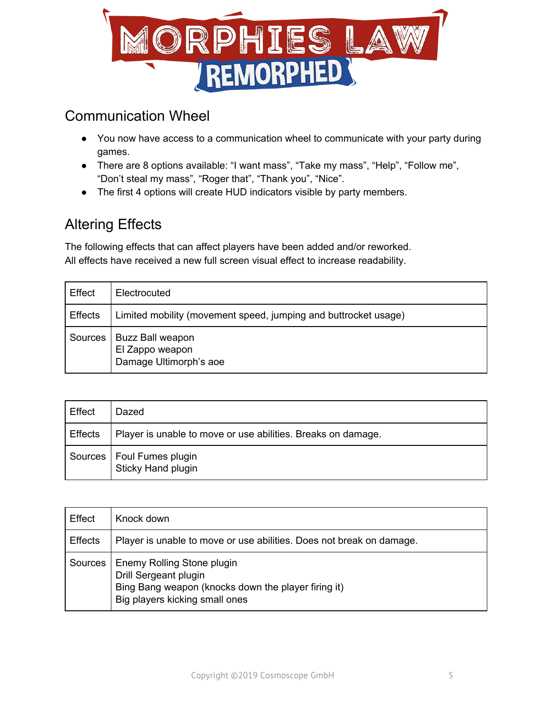

### Communication Wheel

- You now have access to a communication wheel to communicate with your party during games.
- There are 8 options available: "I want mass", "Take my mass", "Help", "Follow me", "Don't steal my mass", "Roger that", "Thank you", "Nice".
- The first 4 options will create HUD indicators visible by party members.

## Altering Effects

The following effects that can affect players have been added and/or reworked. All effects have received a new full screen visual effect to increase readability.

| Effect         | Electrocuted                                                    |
|----------------|-----------------------------------------------------------------|
| <b>Effects</b> | Limited mobility (movement speed, jumping and buttrocket usage) |
| Sources        | Buzz Ball weapon<br>El Zappo weapon<br>Damage Ultimorph's aoe   |

| Effect  | Dazed                                                        |
|---------|--------------------------------------------------------------|
| Effects | Player is unable to move or use abilities. Breaks on damage. |
|         | Sources   Foul Fumes plugin<br>Sticky Hand plugin            |

| Effect         | Knock down                                                                                                                                   |
|----------------|----------------------------------------------------------------------------------------------------------------------------------------------|
| <b>Effects</b> | Player is unable to move or use abilities. Does not break on damage.                                                                         |
| Sources        | Enemy Rolling Stone plugin<br>Drill Sergeant plugin<br>Bing Bang weapon (knocks down the player firing it)<br>Big players kicking small ones |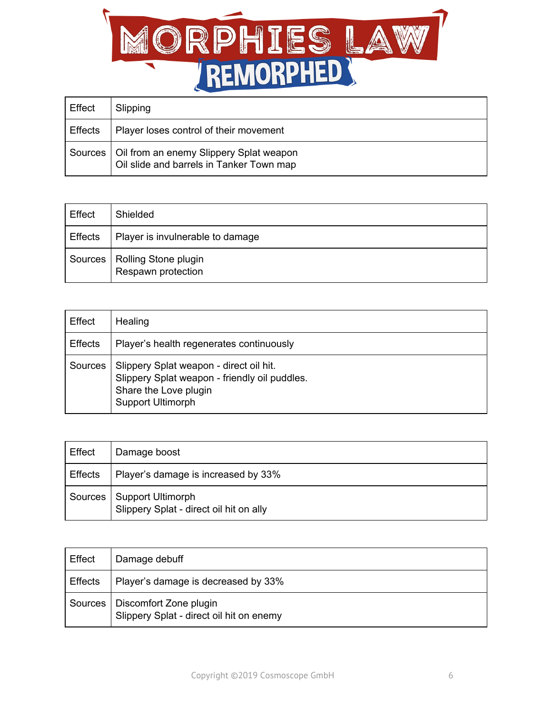

| Effect         | Slipping                                                                                      |
|----------------|-----------------------------------------------------------------------------------------------|
| <b>Effects</b> | Player loses control of their movement                                                        |
|                | Sources   Oil from an enemy Slippery Splat weapon<br>Oil slide and barrels in Tanker Town map |

| Effect  | Shielded                                   |
|---------|--------------------------------------------|
| Effects | Player is invulnerable to damage           |
| Sources | Rolling Stone plugin<br>Respawn protection |

| Effect         | Healing                                                                                                                                |
|----------------|----------------------------------------------------------------------------------------------------------------------------------------|
| <b>Effects</b> | Player's health regenerates continuously                                                                                               |
| Sources        | Slippery Splat weapon - direct oil hit.<br>Slippery Splat weapon - friendly oil puddles.<br>Share the Love plugin<br>Support Ultimorph |

| Effect         | Damage boost                                                        |
|----------------|---------------------------------------------------------------------|
| <b>Effects</b> | Player's damage is increased by 33%                                 |
| Sources        | <b>Support Ultimorph</b><br>Slippery Splat - direct oil hit on ally |

| Effect         | Damage debuff                                                      |
|----------------|--------------------------------------------------------------------|
| <b>Effects</b> | Player's damage is decreased by 33%                                |
| Sources        | Discomfort Zone plugin<br>Slippery Splat - direct oil hit on enemy |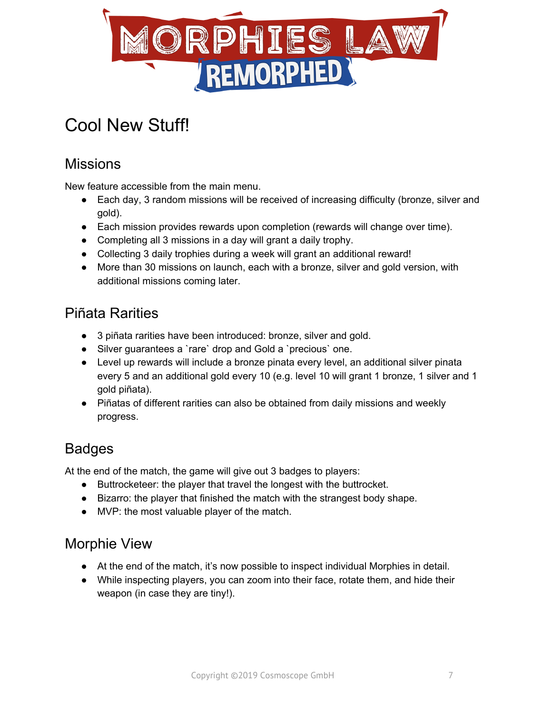

## <span id="page-6-0"></span>Cool New Stuff!

## **Missions**

New feature accessible from the main menu.

- Each day, 3 random missions will be received of increasing difficulty (bronze, silver and gold).
- Each mission provides rewards upon completion (rewards will change over time).
- Completing all 3 missions in a day will grant a daily trophy.
- Collecting 3 daily trophies during a week will grant an additional reward!
- More than 30 missions on launch, each with a bronze, silver and gold version, with additional missions coming later.

#### Piñata Rarities

- 3 piñata rarities have been introduced: bronze, silver and gold.
- Silver guarantees a `rare` drop and Gold a `precious` one.
- Level up rewards will include a bronze pinata every level, an additional silver pinata every 5 and an additional gold every 10 (e.g. level 10 will grant 1 bronze, 1 silver and 1 gold piñata).
- Piñatas of different rarities can also be obtained from daily missions and weekly progress.

## Badges

At the end of the match, the game will give out 3 badges to players:

- Buttrocketeer: the player that travel the longest with the buttrocket.
- Bizarro: the player that finished the match with the strangest body shape.
- MVP: the most valuable player of the match.

## Morphie View

- At the end of the match, it's now possible to inspect individual Morphies in detail.
- While inspecting players, you can zoom into their face, rotate them, and hide their weapon (in case they are tiny!).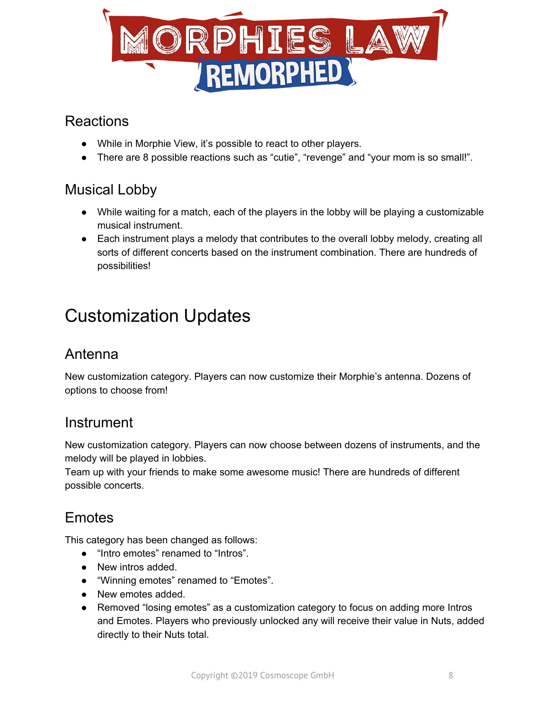

#### Reactions

- While in Morphie View, it's possible to react to other players.
- There are 8 possible reactions such as "cutie", "revenge" and "your mom is so small!".

## Musical Lobby

- While waiting for a match, each of the players in the lobby will be playing a customizable musical instrument.
- Each instrument plays a melody that contributes to the overall lobby melody, creating all sorts of different concerts based on the instrument combination. There are hundreds of possibilities!

## <span id="page-7-0"></span>Customization Updates

## Antenna

New customization category. Players can now customize their Morphie's antenna. Dozens of options to choose from!

#### Instrument

New customization category. Players can now choose between dozens of instruments, and the melody will be played in lobbies.

Team up with your friends to make some awesome music! There are hundreds of different possible concerts.

## **Emotes**

This category has been changed as follows:

- "Intro emotes" renamed to "Intros".
- New intros added.
- "Winning emotes" renamed to "Emotes".
- New emotes added.
- Removed "losing emotes" as a customization category to focus on adding more Intros and Emotes. Players who previously unlocked any will receive their value in Nuts, added directly to their Nuts total.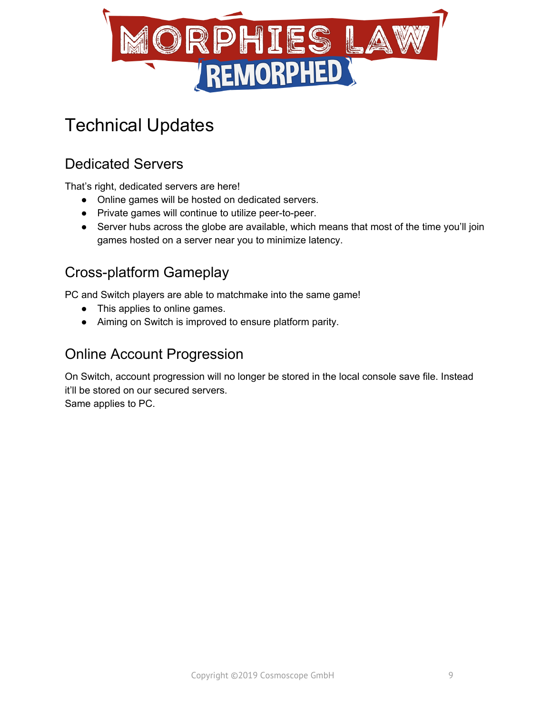

## Technical Updates

## Dedicated Servers

That's right, dedicated servers are here!

- Online games will be hosted on dedicated servers.
- Private games will continue to utilize peer-to-peer.
- Server hubs across the globe are available, which means that most of the time you'll join games hosted on a server near you to minimize latency.

## Cross-platform Gameplay

PC and Switch players are able to matchmake into the same game!

- This applies to online games.
- Aiming on Switch is improved to ensure platform parity.

#### Online Account Progression

On Switch, account progression will no longer be stored in the local console save file. Instead it'll be stored on our secured servers. Same applies to PC.